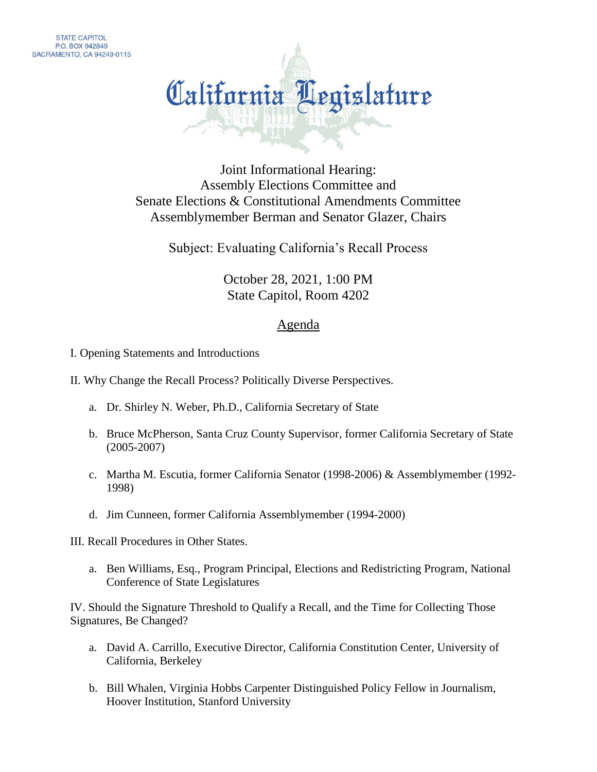

Joint Informational Hearing: Assembly Elections Committee and Senate Elections & Constitutional Amendments Committee Assemblymember Berman and Senator Glazer, Chairs

Subject: Evaluating California's Recall Process

October 28, 2021, 1:00 PM State Capitol, Room 4202

## Agenda

- I. Opening Statements and Introductions
- II. Why Change the Recall Process? Politically Diverse Perspectives.
	- a. Dr. Shirley N. Weber, Ph.D., California Secretary of State
	- b. Bruce McPherson, Santa Cruz County Supervisor, former California Secretary of State (2005-2007)
	- c. Martha M. Escutia, former California Senator (1998-2006) & Assemblymember (1992- 1998)
	- d. Jim Cunneen, former California Assemblymember (1994-2000)

III. Recall Procedures in Other States.

a. Ben Williams, Esq., Program Principal, Elections and Redistricting Program, National Conference of State Legislatures

IV. Should the Signature Threshold to Qualify a Recall, and the Time for Collecting Those Signatures, Be Changed?

- a. David A. Carrillo, Executive Director, California Constitution Center, University of California, Berkeley
- b. Bill Whalen, Virginia Hobbs Carpenter Distinguished Policy Fellow in Journalism, Hoover Institution, Stanford University